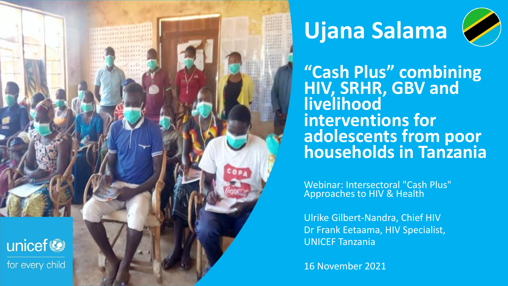

# **Ujana Salama**



**"Cash Plus" combining HIV, SRHR, GBV and livelihood interventions for adolescents from poor households in Tanzania**

Webinar: Intersectoral "Cash Plus" Approaches to HIV & Health

Ulrike Gilbert-Nandra, Chief HIV Dr Frank Eetaama, HIV Specialist, UNICEF Tanzania

16 November 2021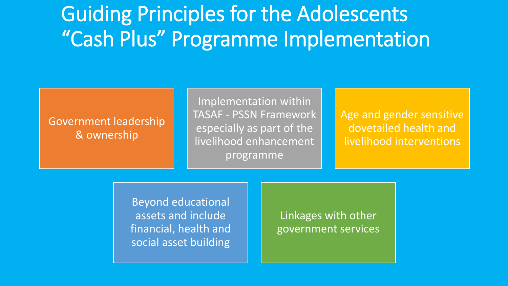### Guiding Principles for the Adolescents "Cash Plus" Programme Implementation

#### Government leadership & ownership

Implementation within TASAF - PSSN Framework especially as part of the livelihood enhancement programme

Age and gender sensitive dovetailed health and livelihood interventions

Beyond educational assets and include financial, health and social asset building

Linkages with other government services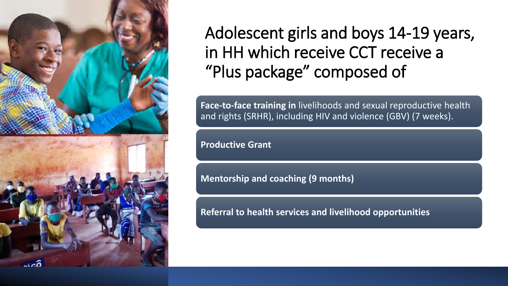

Adolescent girls and boys 14-19 years, in HH which receive CCT receive a "Plus package" composed of

**Face-to-face training in** livelihoods and sexual reproductive health and rights (SRHR), including HIV and violence (GBV) (7 weeks).

**Productive Grant**

**Mentorship and coaching (9 months)** 

**Referral to health services and livelihood opportunities**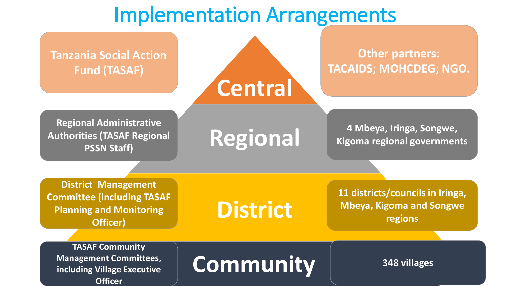### Implementation Arrangements

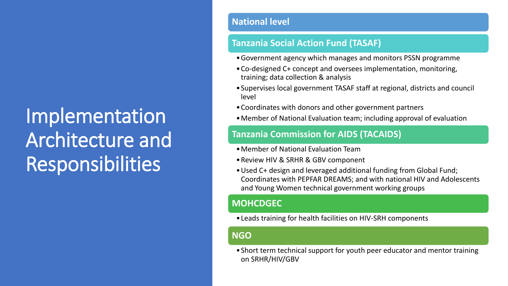### Implementation Architecture and Responsibilities

#### **National level**

#### **Tanzania Social Action Fund (TASAF)**

- •Government agency which manages and monitors PSSN programme
- •Co-designed C+ concept and oversees implementation, monitoring, training; data collection & analysis
- •Supervises local government TASAF staff at regional, districts and council level
- •Coordinates with donors and other government partners
- •Member of National Evaluation team; including approval of evaluation

#### **Tanzania Commission for AIDS (TACAIDS)**

- •Member of National Evaluation Team
- •Review HIV & SRHR & GBV component
- •Used C+ design and leveraged additional funding from Global Fund; Coordinates with PEPFAR DREAMS; and with national HIV and Adolescents and Young Women technical government working groups

#### **MOHCDGEC**

•Leads training for health facilities on HIV-SRH components

#### **NGO**

•Short term technical support for youth peer educator and mentor training on SRHR/HIV/GBV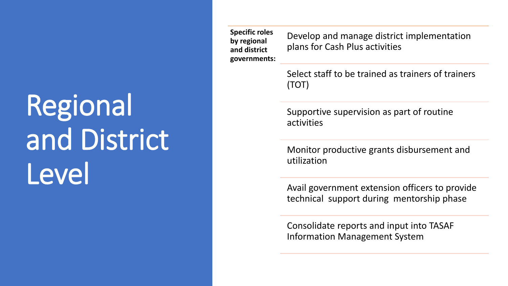# Regional and District Level

**Specific roles by regional and district governments:** 

Develop and manage district implementation plans for Cash Plus activities

Select staff to be trained as trainers of trainers (TOT)

Supportive supervision as part of routine activities

Monitor productive grants disbursement and utilization

Avail government extension officers to provide technical support during mentorship phase

Consolidate reports and input into TASAF Information Management System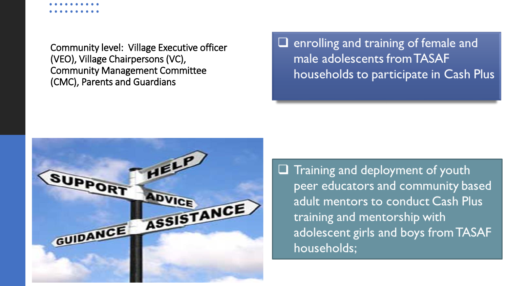Community level: Village Executive officer (VEO), Village Chairpersons (VC), Community Management Committee (CMC), Parents and Guardians

 $\Box$  enrolling and training of female and male adolescents from TASAF households to participate in Cash Plus



 $\Box$  Training and deployment of youth peer educators and community based adult mentors to conduct Cash Plus training and mentorship with adolescent girls and boys from TASAF households;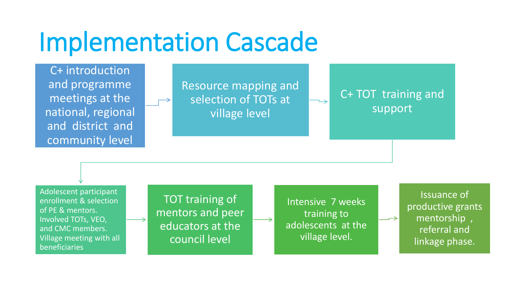# Implementation Cascade

C+ introduction and programme meetings at the national, regional and district and community level

Resource mapping and selection of TOTs at village level

C+ TOT training and support

Adolescent participant enrollment & selection of PE & mentors. Involved TOTs, VEO, and CMC members. Village meeting with all beneficiaries

TOT training of mentors and peer educators at the council level

Intensive 7 weeks training to adolescents at the village level.

Issuance of productive grants mentorship , referral and linkage phase.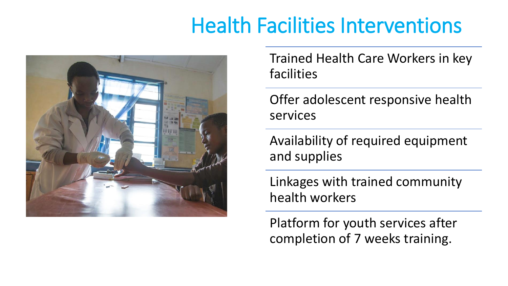### Health Facilities Interventions



Trained Health Care Workers in key facilities

Offer adolescent responsive health services

Availability of required equipment and supplies

Linkages with trained community health workers

Platform for youth services after completion of 7 weeks training.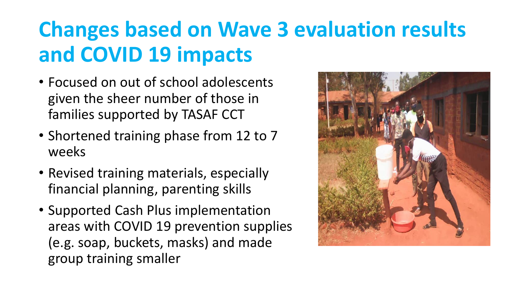## **Changes based on Wave 3 evaluation results and COVID 19 impacts**

- Focused on out of school adolescents given the sheer number of those in families supported by TASAF CCT
- Shortened training phase from 12 to 7 weeks
- Revised training materials, especially financial planning, parenting skills
- Supported Cash Plus implementation areas with COVID 19 prevention supplies (e.g. soap, buckets, masks) and made group training smaller

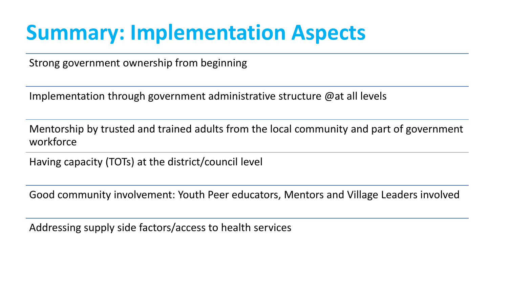### **Summary: Implementation Aspects**

Strong government ownership from beginning

Implementation through government administrative structure @at all levels

Mentorship by trusted and trained adults from the local community and part of government workforce

Having capacity (TOTs) at the district/council level

Good community involvement: Youth Peer educators, Mentors and Village Leaders involved

Addressing supply side factors/access to health services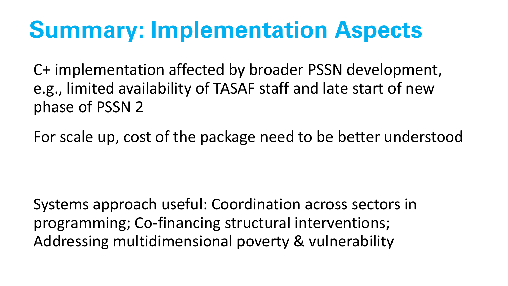# **Summary: Implementation Aspects**

C+ implementation affected by broader PSSN development, e.g., limited availability of TASAF staff and late start of new phase of PSSN 2

For scale up, cost of the package need to be better understood

Systems approach useful: Coordination across sectors in programming; Co-financing structural interventions; Addressing multidimensional poverty & vulnerability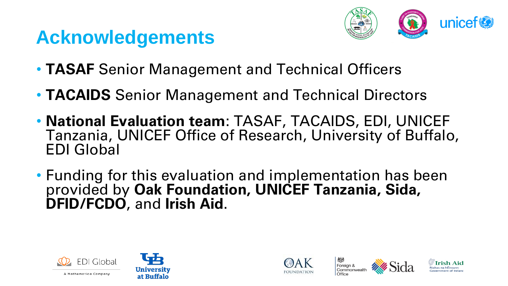### **Acknowledgements**



- **TASAF** Senior Management and Technical Officers
- **TACAIDS** Senior Management and Technical Directors
- **National Evaluation team**: TASAF, TACAIDS, EDI, UNICEF Tanzania, UNICEF Office of Research, University of Buffalo, EDI Global
- Funding for this evaluation and implementation has been provided by **Oak Foundation, UNICEF Tanzania, Sida, DFID/FCDO**, and **Irish Aid**.



A Mathematica Company





Foreign & Commonwealth Office